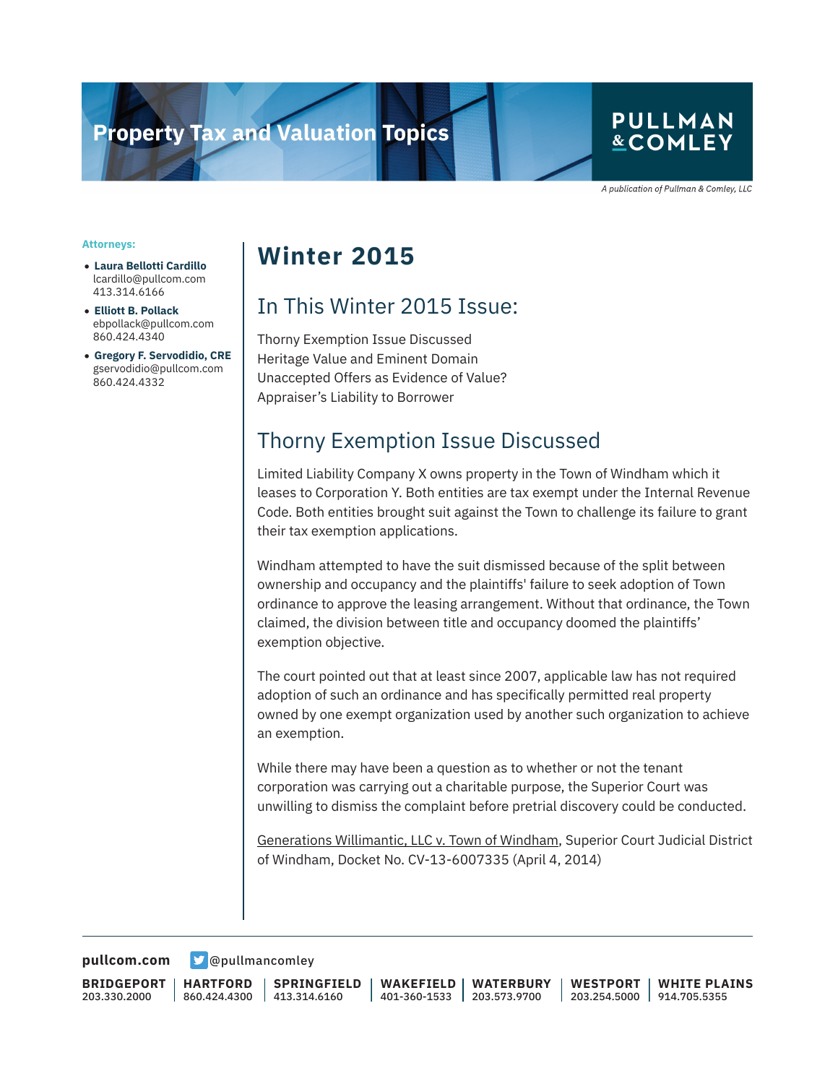# **Property Tax and Valuation Topics**

### **PULLMAN &COMLEY**

A publication of Pullman & Comley, LLC

#### **Attorneys:**

- **Laura Bellotti Cardillo** lcardillo@pullcom.com 413.314.6166
- **Elliott B. Pollack** ebpollack@pullcom.com 860.424.4340
- **Gregory F. Servodidio, CRE** gservodidio@pullcom.com 860.424.4332

## **Winter 2015**

## In This Winter 2015 Issue:

Thorny Exemption Issue Discussed Heritage Value and Eminent Domain Unaccepted Offers as Evidence of Value? Appraiser's Liability to Borrower

### Thorny Exemption Issue Discussed

Limited Liability Company X owns property in the Town of Windham which it leases to Corporation Y. Both entities are tax exempt under the Internal Revenue Code. Both entities brought suit against the Town to challenge its failure to grant their tax exemption applications.

Windham attempted to have the suit dismissed because of the split between ownership and occupancy and the plaintiffs' failure to seek adoption of Town ordinance to approve the leasing arrangement. Without that ordinance, the Town claimed, the division between title and occupancy doomed the plaintiffs' exemption objective.

The court pointed out that at least since 2007, applicable law has not required adoption of such an ordinance and has specifically permitted real property owned by one exempt organization used by another such organization to achieve an exemption.

While there may have been a question as to whether or not the tenant corporation was carrying out a charitable purpose, the Superior Court was unwilling to dismiss the complaint before pretrial discovery could be conducted.

Generations Willimantic, LLC v. Town of Windham, Superior Court Judicial District of Windham, Docket No. CV-13-6007335 (April 4, 2014)

**[pullcom.com](https://www.pullcom.com) g** [@pullmancomley](https://twitter.com/PullmanComley)

**BRIDGEPORT** 203.330.2000

**HARTFORD** 860.424.4300

**SPRINGFIELD** 413.314.6160

**WAKEFIELD** 401-360-1533 203.573.9700 **WATERBURY WESTPORT** 203.254.5000 914.705.5355 **WHITE PLAINS**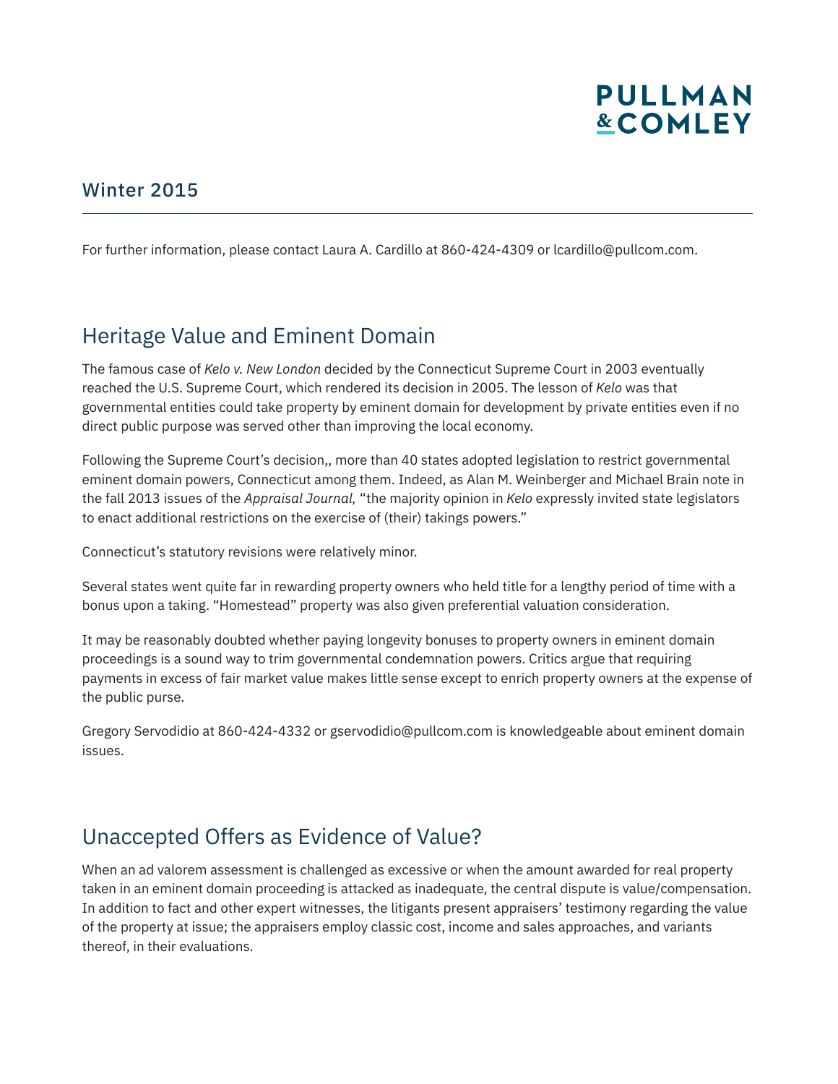

#### Winter 2015

For further information, please contact Laura A. Cardillo at 860-424-4309 or lcardillo@pullcom.com.

### Heritage Value and Eminent Domain

The famous case of *Kelo v. New London* decided by the Connecticut Supreme Court in 2003 eventually reached the U.S. Supreme Court, which rendered its decision in 2005. The lesson of *Kelo* was that governmental entities could take property by eminent domain for development by private entities even if no direct public purpose was served other than improving the local economy.

Following the Supreme Court's decision,, more than 40 states adopted legislation to restrict governmental eminent domain powers, Connecticut among them. Indeed, as Alan M. Weinberger and Michael Brain note in the fall 2013 issues of the *Appraisal Journal,* "the majority opinion in *Kelo* expressly invited state legislators to enact additional restrictions on the exercise of (their) takings powers."

Connecticut's statutory revisions were relatively minor.

Several states went quite far in rewarding property owners who held title for a lengthy period of time with a bonus upon a taking. "Homestead" property was also given preferential valuation consideration.

It may be reasonably doubted whether paying longevity bonuses to property owners in eminent domain proceedings is a sound way to trim governmental condemnation powers. Critics argue that requiring payments in excess of fair market value makes little sense except to enrich property owners at the expense of the public purse.

Gregory Servodidio at 860-424-4332 or gservodidio@pullcom.com is knowledgeable about eminent domain issues.

### Unaccepted Offers as Evidence of Value?

When an ad valorem assessment is challenged as excessive or when the amount awarded for real property taken in an eminent domain proceeding is attacked as inadequate, the central dispute is value/compensation. In addition to fact and other expert witnesses, the litigants present appraisers' testimony regarding the value of the property at issue; the appraisers employ classic cost, income and sales approaches, and variants thereof, in their evaluations.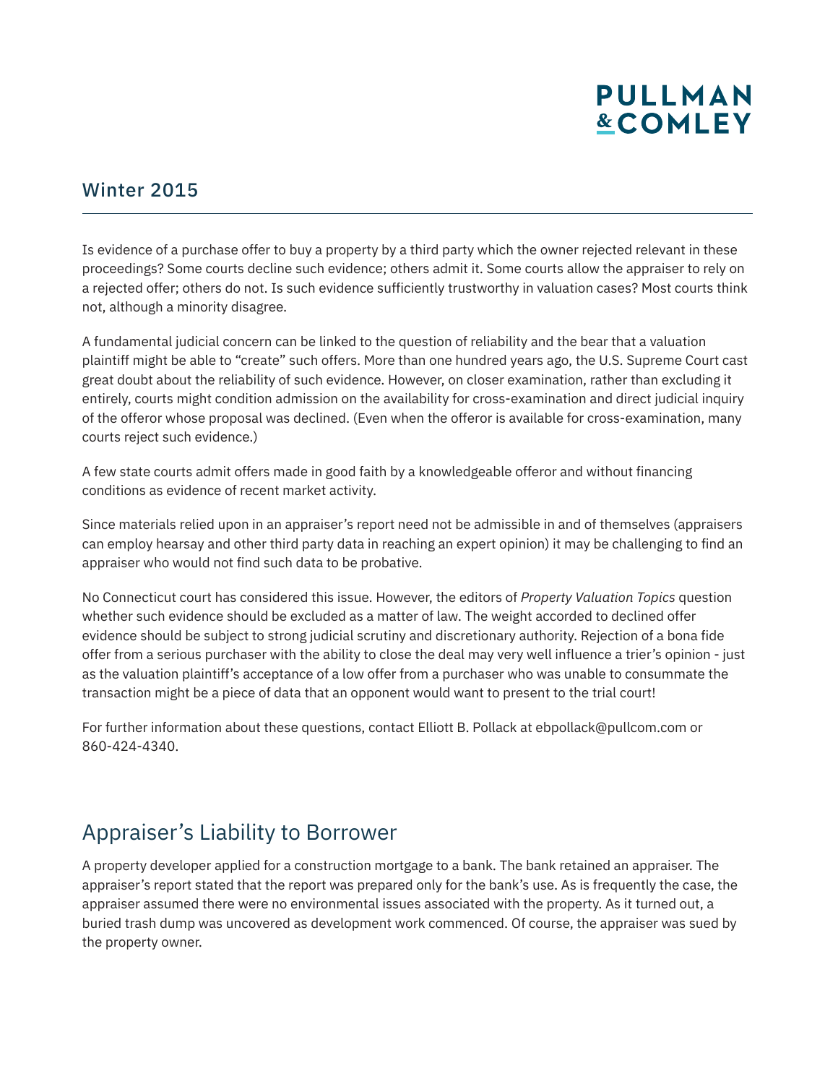# **PULLMAN &COMLEY**

#### Winter 2015

Is evidence of a purchase offer to buy a property by a third party which the owner rejected relevant in these proceedings? Some courts decline such evidence; others admit it. Some courts allow the appraiser to rely on a rejected offer; others do not. Is such evidence sufficiently trustworthy in valuation cases? Most courts think not, although a minority disagree.

A fundamental judicial concern can be linked to the question of reliability and the bear that a valuation plaintiff might be able to "create" such offers. More than one hundred years ago, the U.S. Supreme Court cast great doubt about the reliability of such evidence. However, on closer examination, rather than excluding it entirely, courts might condition admission on the availability for cross-examination and direct judicial inquiry of the offeror whose proposal was declined. (Even when the offeror is available for cross-examination, many courts reject such evidence.)

A few state courts admit offers made in good faith by a knowledgeable offeror and without financing conditions as evidence of recent market activity.

Since materials relied upon in an appraiser's report need not be admissible in and of themselves (appraisers can employ hearsay and other third party data in reaching an expert opinion) it may be challenging to find an appraiser who would not find such data to be probative.

No Connecticut court has considered this issue. However, the editors of *Property Valuation Topics* question whether such evidence should be excluded as a matter of law. The weight accorded to declined offer evidence should be subject to strong judicial scrutiny and discretionary authority. Rejection of a bona fide offer from a serious purchaser with the ability to close the deal may very well influence a trier's opinion - just as the valuation plaintiff's acceptance of a low offer from a purchaser who was unable to consummate the transaction might be a piece of data that an opponent would want to present to the trial court!

For further information about these questions, contact Elliott B. Pollack at ebpollack@pullcom.com or 860-424-4340.

## Appraiser's Liability to Borrower

A property developer applied for a construction mortgage to a bank. The bank retained an appraiser. The appraiser's report stated that the report was prepared only for the bank's use. As is frequently the case, the appraiser assumed there were no environmental issues associated with the property. As it turned out, a buried trash dump was uncovered as development work commenced. Of course, the appraiser was sued by the property owner.